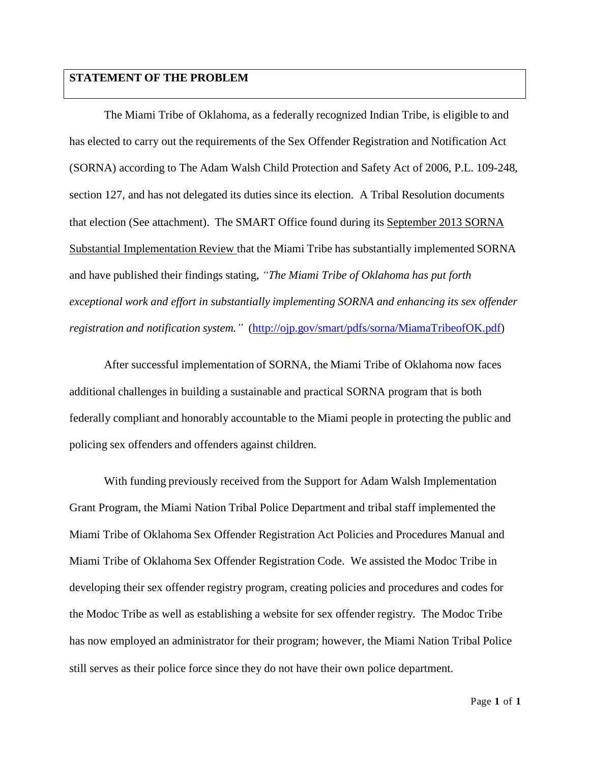### **STATEMENT OF THE PROBLEM**

The Miami Tribe of Oklahoma, as a federally recognized Indian Tribe, is eligible to and has elected to carry out the requirements of the Sex Offender Registration and Notification Act (SORNA) according to The Adam Walsh Child Protection and Safety Act of 2006, P.L. 109-248, section 127, and has not delegated its duties since its election. A Tribal Resolution documents that election (See attachment). The SMART Office found during its September 2013 SORNA Substantial Implementation Review that the Miami Tribe has substantially implemented SORNA and have published their findings stating, *"The Miami Tribe of Oklahoma has put forth exceptional work and effort in substantially implementing SORNA and enhancing its sex offender registration and notification system."* [\(http://ojp.gov/smart/pdfs/sorna/MiamaTribeofOK.pdf\)](http://ojp.gov/smart/pdfs/sorna/MiamaTribeofOK.pdf))

After successful implementation of SORNA, the Miami Tribe of Oklahoma now faces additional challenges in building a sustainable and practical SORNA program that is both federally compliant and honorably accountable to the Miami people in protecting the public and policing sex offenders and offenders against children.

With funding previously received from the Support for Adam Walsh Implementation Grant Program, the Miami Nation Tribal Police Department and tribal staff implemented the Miami Tribe of Oklahoma Sex Offender Registration Act Policies and Procedures Manual and Miami Tribe of Oklahoma Sex Offender Registration Code. We assisted the Modoc Tribe in developing their sex offender registry program, creating policies and procedures and codes for the Modoc Tribe as well as establishing a website for sex offender registry. The Modoc Tribe has now employed an administrator for their program; however, the Miami Nation Tribal Police still serves as their police force since they do not have their own police department.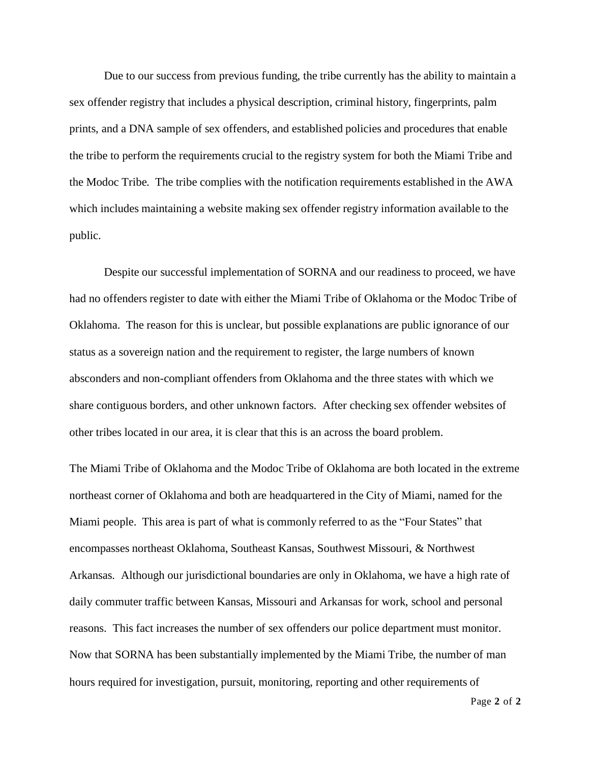Due to our success from previous funding, the tribe currently has the ability to maintain a sex offender registry that includes a physical description, criminal history, fingerprints, palm prints, and a DNA sample of sex offenders, and established policies and procedures that enable the tribe to perform the requirements crucial to the registry system for both the Miami Tribe and the Modoc Tribe. The tribe complies with the notification requirements established in the AWA which includes maintaining a website making sex offender registry information available to the public.

Despite our successful implementation of SORNA and our readiness to proceed, we have had no offenders register to date with either the Miami Tribe of Oklahoma or the Modoc Tribe of Oklahoma. The reason for this is unclear, but possible explanations are public ignorance of our status as a sovereign nation and the requirement to register, the large numbers of known absconders and non-compliant offenders from Oklahoma and the three states with which we share contiguous borders, and other unknown factors. After checking sex offender websites of other tribes located in our area, it is clear that this is an across the board problem.

The Miami Tribe of Oklahoma and the Modoc Tribe of Oklahoma are both located in the extreme northeast corner of Oklahoma and both are headquartered in the City of Miami, named for the Miami people. This area is part of what is commonly referred to as the "Four States" that encompasses northeast Oklahoma, Southeast Kansas, Southwest Missouri, & Northwest Arkansas. Although our jurisdictional boundaries are only in Oklahoma, we have a high rate of daily commuter traffic between Kansas, Missouri and Arkansas for work, school and personal reasons. This fact increases the number of sex offenders our police department must monitor. Now that SORNA has been substantially implemented by the Miami Tribe, the number of man hours required for investigation, pursuit, monitoring, reporting and other requirements of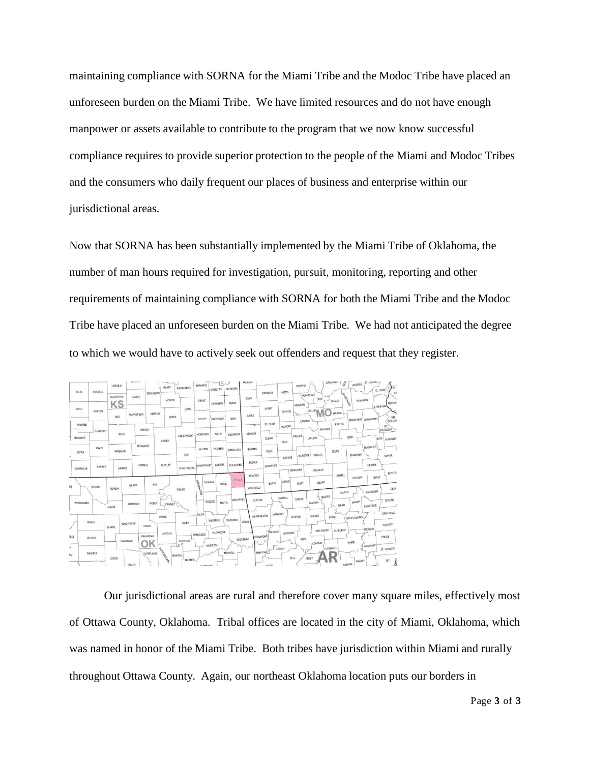maintaining compliance with SORNA for the Miami Tribe and the Modoc Tribe have placed an unforeseen burden on the Miami Tribe. We have limited resources and do not have enough manpower or assets available to contribute to the program that we now know successful compliance requires to provide superior protection to the people of the Miami and Modoc Tribes and the consumers who daily frequent our places of business and enterprise within our jurisdictional areas.

Now that SORNA has been substantially implemented by the Miami Tribe of Oklahoma, the number of man hours required for investigation, pursuit, monitoring, reporting and other requirements of maintaining compliance with SORNA for both the Miami Tribe and the Modoc Tribe have placed an unforeseen burden on the Miami Tribe. We had not anticipated the degree to which we would have to actively seek out offenders and request that they register.



Our jurisdictional areas are rural and therefore cover many square miles, effectively most of Ottawa County, Oklahoma. Tribal offices are located in the city of Miami, Oklahoma, which was named in honor of the Miami Tribe. Both tribes have jurisdiction within Miami and rurally throughout Ottawa County. Again, our northeast Oklahoma location puts our borders in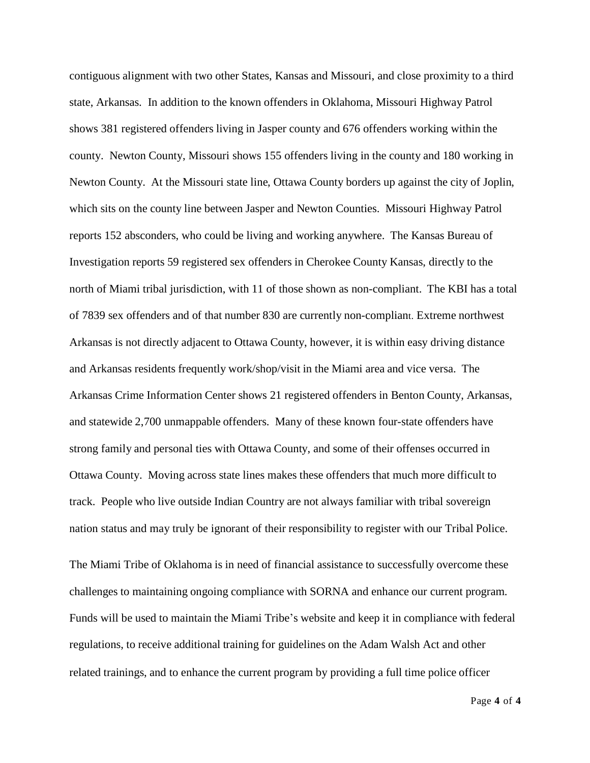contiguous alignment with two other States, Kansas and Missouri, and close proximity to a third state, Arkansas. In addition to the known offenders in Oklahoma, Missouri Highway Patrol shows 381 registered offenders living in Jasper county and 676 offenders working within the county. Newton County, Missouri shows 155 offenders living in the county and 180 working in Newton County. At the Missouri state line, Ottawa County borders up against the city of Joplin, which sits on the county line between Jasper and Newton Counties. Missouri Highway Patrol reports 152 absconders, who could be living and working anywhere. The Kansas Bureau of Investigation reports 59 registered sex offenders in Cherokee County Kansas, directly to the north of Miami tribal jurisdiction, with 11 of those shown as non-compliant. The KBI has a total of 7839 sex offenders and of that number 830 are currently non-compliant. Extreme northwest Arkansas is not directly adjacent to Ottawa County, however, it is within easy driving distance and Arkansas residents frequently work/shop/visit in the Miami area and vice versa. The Arkansas Crime Information Center shows 21 registered offenders in Benton County, Arkansas, and statewide 2,700 unmappable offenders. Many of these known four-state offenders have strong family and personal ties with Ottawa County, and some of their offenses occurred in Ottawa County. Moving across state lines makes these offenders that much more difficult to track. People who live outside Indian Country are not always familiar with tribal sovereign nation status and may truly be ignorant of their responsibility to register with our Tribal Police.

The Miami Tribe of Oklahoma is in need of financial assistance to successfully overcome these challenges to maintaining ongoing compliance with SORNA and enhance our current program. Funds will be used to maintain the Miami Tribe's website and keep it in compliance with federal regulations, to receive additional training for guidelines on the Adam Walsh Act and other related trainings, and to enhance the current program by providing a full time police officer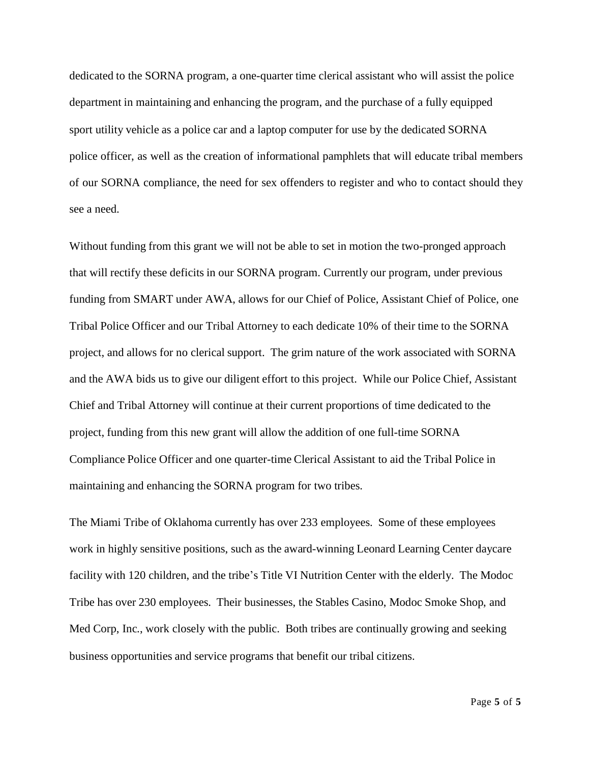dedicated to the SORNA program, a one-quarter time clerical assistant who will assist the police department in maintaining and enhancing the program, and the purchase of a fully equipped sport utility vehicle as a police car and a laptop computer for use by the dedicated SORNA police officer, as well as the creation of informational pamphlets that will educate tribal members of our SORNA compliance, the need for sex offenders to register and who to contact should they see a need.

Without funding from this grant we will not be able to set in motion the two-pronged approach that will rectify these deficits in our SORNA program. Currently our program, under previous funding from SMART under AWA, allows for our Chief of Police, Assistant Chief of Police, one Tribal Police Officer and our Tribal Attorney to each dedicate 10% of their time to the SORNA project, and allows for no clerical support. The grim nature of the work associated with SORNA and the AWA bids us to give our diligent effort to this project. While our Police Chief, Assistant Chief and Tribal Attorney will continue at their current proportions of time dedicated to the project, funding from this new grant will allow the addition of one full-time SORNA Compliance Police Officer and one quarter-time Clerical Assistant to aid the Tribal Police in maintaining and enhancing the SORNA program for two tribes.

The Miami Tribe of Oklahoma currently has over 233 employees. Some of these employees work in highly sensitive positions, such as the award-winning Leonard Learning Center daycare facility with 120 children, and the tribe's Title VI Nutrition Center with the elderly. The Modoc Tribe has over 230 employees. Their businesses, the Stables Casino, Modoc Smoke Shop, and Med Corp, Inc., work closely with the public. Both tribes are continually growing and seeking business opportunities and service programs that benefit our tribal citizens.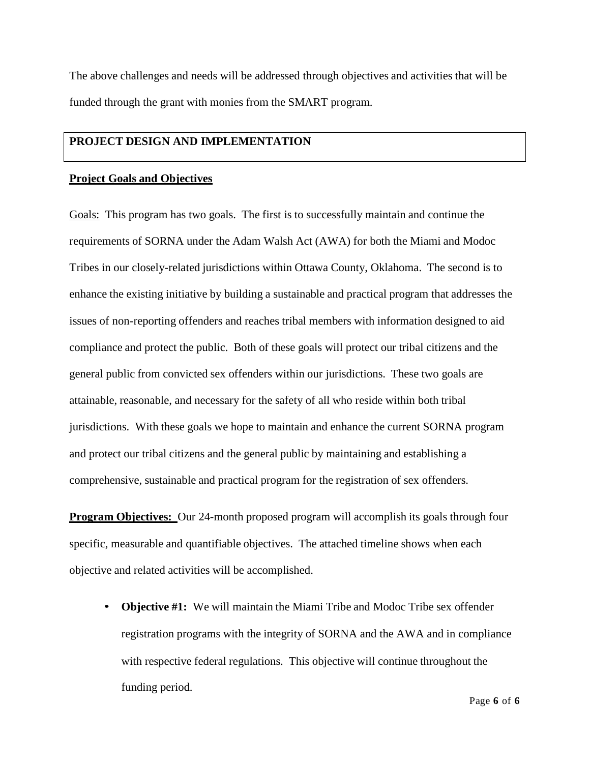The above challenges and needs will be addressed through objectives and activities that will be funded through the grant with monies from the SMART program.

### **PROJECT DESIGN AND IMPLEMENTATION**

### **Project Goals and Objectives**

Goals: This program has two goals. The first is to successfully maintain and continue the requirements of SORNA under the Adam Walsh Act (AWA) for both the Miami and Modoc Tribes in our closely-related jurisdictions within Ottawa County, Oklahoma. The second is to enhance the existing initiative by building a sustainable and practical program that addresses the issues of non-reporting offenders and reaches tribal members with information designed to aid compliance and protect the public. Both of these goals will protect our tribal citizens and the general public from convicted sex offenders within our jurisdictions. These two goals are attainable, reasonable, and necessary for the safety of all who reside within both tribal jurisdictions. With these goals we hope to maintain and enhance the current SORNA program and protect our tribal citizens and the general public by maintaining and establishing a comprehensive, sustainable and practical program for the registration of sex offenders.

**Program Objectives:** Our 24-month proposed program will accomplish its goals through four specific, measurable and quantifiable objectives. The attached timeline shows when each objective and related activities will be accomplished.

• **Objective #1:** We will maintain the Miami Tribe and Modoc Tribe sex offender registration programs with the integrity of SORNA and the AWA and in compliance with respective federal regulations. This objective will continue throughout the funding period.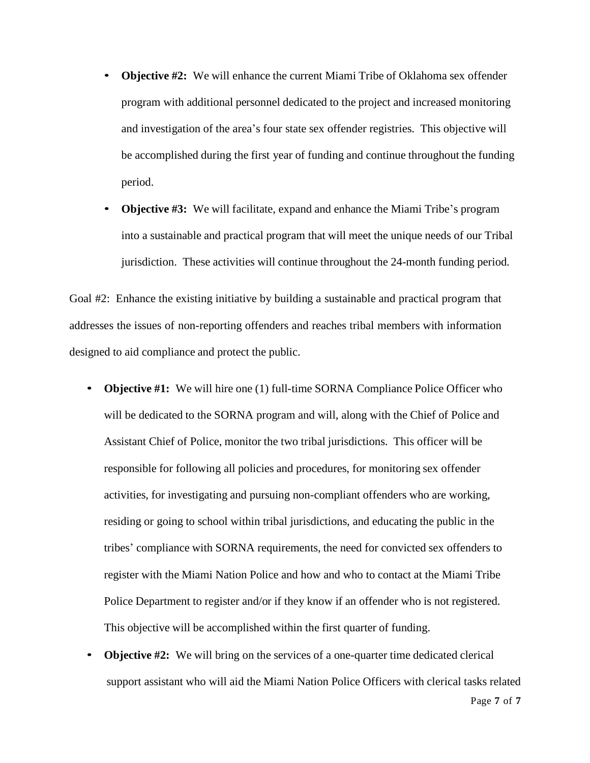- **Objective #2:** We will enhance the current Miami Tribe of Oklahoma sex offender program with additional personnel dedicated to the project and increased monitoring and investigation of the area's four state sex offender registries. This objective will be accomplished during the first year of funding and continue throughout the funding period.
- **Objective #3:** We will facilitate, expand and enhance the Miami Tribe's program into a sustainable and practical program that will meet the unique needs of our Tribal jurisdiction. These activities will continue throughout the 24-month funding period.

Goal #2: Enhance the existing initiative by building a sustainable and practical program that addresses the issues of non-reporting offenders and reaches tribal members with information designed to aid compliance and protect the public.

- **Objective #1:** We will hire one (1) full-time SORNA Compliance Police Officer who will be dedicated to the SORNA program and will, along with the Chief of Police and Assistant Chief of Police, monitor the two tribal jurisdictions. This officer will be responsible for following all policies and procedures, for monitoring sex offender activities, for investigating and pursuing non-compliant offenders who are working, residing or going to school within tribal jurisdictions, and educating the public in the tribes' compliance with SORNA requirements, the need for convicted sex offenders to register with the Miami Nation Police and how and who to contact at the Miami Tribe Police Department to register and/or if they know if an offender who is not registered. This objective will be accomplished within the first quarter of funding.
- **Objective #2:** We will bring on the services of a one-quarter time dedicated clerical support assistant who will aid the Miami Nation Police Officers with clerical tasks related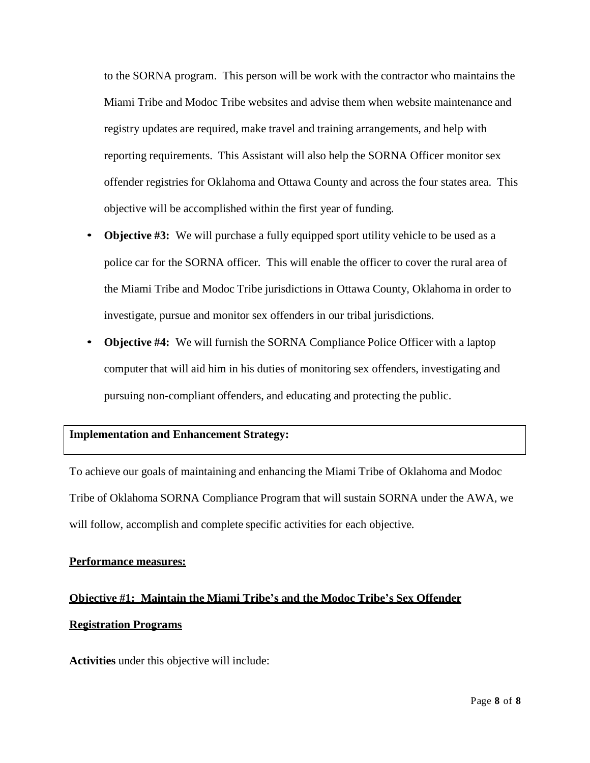to the SORNA program. This person will be work with the contractor who maintains the Miami Tribe and Modoc Tribe websites and advise them when website maintenance and registry updates are required, make travel and training arrangements, and help with reporting requirements. This Assistant will also help the SORNA Officer monitor sex offender registries for Oklahoma and Ottawa County and across the four states area. This objective will be accomplished within the first year of funding.

- **Objective #3:** We will purchase a fully equipped sport utility vehicle to be used as a police car for the SORNA officer. This will enable the officer to cover the rural area of the Miami Tribe and Modoc Tribe jurisdictions in Ottawa County, Oklahoma in order to investigate, pursue and monitor sex offenders in our tribal jurisdictions.
- **Objective #4:** We will furnish the SORNA Compliance Police Officer with a laptop computer that will aid him in his duties of monitoring sex offenders, investigating and pursuing non-compliant offenders, and educating and protecting the public.

### **Implementation and Enhancement Strategy:**

To achieve our goals of maintaining and enhancing the Miami Tribe of Oklahoma and Modoc Tribe of Oklahoma SORNA Compliance Program that will sustain SORNA under the AWA, we will follow, accomplish and complete specific activities for each objective.

### **Performance measures:**

## **Objective #1: Maintain the Miami Tribe's and the Modoc Tribe's Sex Offender Registration Programs**

**Activities** under this objective will include: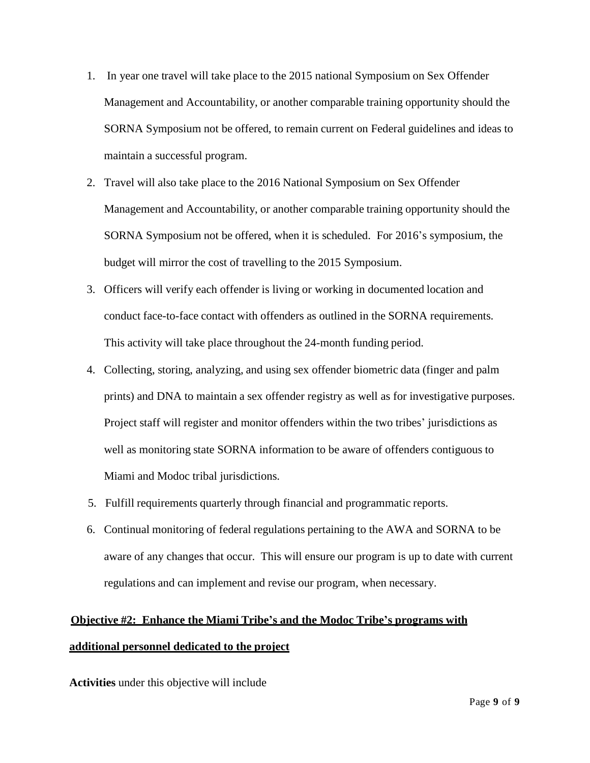- 1. In year one travel will take place to the 2015 national Symposium on Sex Offender Management and Accountability, or another comparable training opportunity should the SORNA Symposium not be offered, to remain current on Federal guidelines and ideas to maintain a successful program.
- 2. Travel will also take place to the 2016 National Symposium on Sex Offender Management and Accountability, or another comparable training opportunity should the SORNA Symposium not be offered, when it is scheduled. For 2016's symposium, the budget will mirror the cost of travelling to the 2015 Symposium.
- 3. Officers will verify each offender is living or working in documented location and conduct face-to-face contact with offenders as outlined in the SORNA requirements. This activity will take place throughout the 24-month funding period.
- 4. Collecting, storing, analyzing, and using sex offender biometric data (finger and palm prints) and DNA to maintain a sex offender registry as well as for investigative purposes. Project staff will register and monitor offenders within the two tribes' jurisdictions as well as monitoring state SORNA information to be aware of offenders contiguous to Miami and Modoc tribal jurisdictions.
- 5. Fulfill requirements quarterly through financial and programmatic reports.
- 6. Continual monitoring of federal regulations pertaining to the AWA and SORNA to be aware of any changes that occur. This will ensure our program is up to date with current regulations and can implement and revise our program, when necessary.

# **Objective #2: Enhance the Miami Tribe's and the Modoc Tribe's programs with additional personnel dedicated to the project**

**Activities** under this objective will include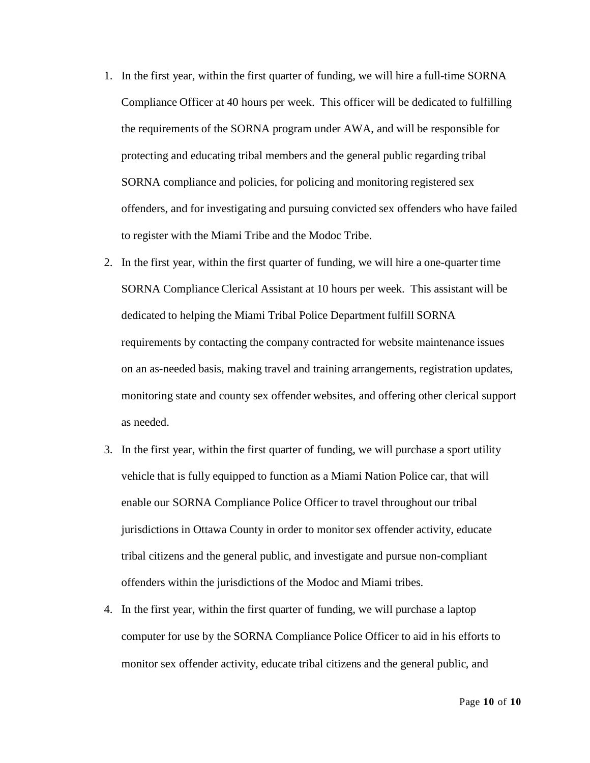- 1. In the first year, within the first quarter of funding, we will hire a full-time SORNA Compliance Officer at 40 hours per week. This officer will be dedicated to fulfilling the requirements of the SORNA program under AWA, and will be responsible for protecting and educating tribal members and the general public regarding tribal SORNA compliance and policies, for policing and monitoring registered sex offenders, and for investigating and pursuing convicted sex offenders who have failed to register with the Miami Tribe and the Modoc Tribe.
- 2. In the first year, within the first quarter of funding, we will hire a one-quarter time SORNA Compliance Clerical Assistant at 10 hours per week. This assistant will be dedicated to helping the Miami Tribal Police Department fulfill SORNA requirements by contacting the company contracted for website maintenance issues on an as-needed basis, making travel and training arrangements, registration updates, monitoring state and county sex offender websites, and offering other clerical support as needed.
- 3. In the first year, within the first quarter of funding, we will purchase a sport utility vehicle that is fully equipped to function as a Miami Nation Police car, that will enable our SORNA Compliance Police Officer to travel throughout our tribal jurisdictions in Ottawa County in order to monitor sex offender activity, educate tribal citizens and the general public, and investigate and pursue non-compliant offenders within the jurisdictions of the Modoc and Miami tribes.
- 4. In the first year, within the first quarter of funding, we will purchase a laptop computer for use by the SORNA Compliance Police Officer to aid in his efforts to monitor sex offender activity, educate tribal citizens and the general public, and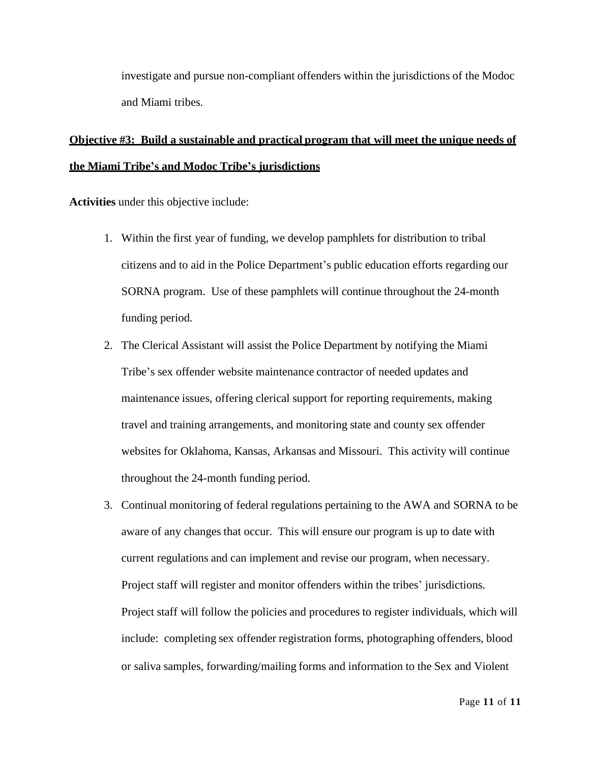investigate and pursue non-compliant offenders within the jurisdictions of the Modoc and Miami tribes.

## **Objective #3: Build a sustainable and practical program that will meet the unique needs of the Miami Tribe's and Modoc Tribe's jurisdictions**

**Activities** under this objective include:

- 1. Within the first year of funding, we develop pamphlets for distribution to tribal citizens and to aid in the Police Department's public education efforts regarding our SORNA program. Use of these pamphlets will continue throughout the 24-month funding period.
- 2. The Clerical Assistant will assist the Police Department by notifying the Miami Tribe's sex offender website maintenance contractor of needed updates and maintenance issues, offering clerical support for reporting requirements, making travel and training arrangements, and monitoring state and county sex offender websites for Oklahoma, Kansas, Arkansas and Missouri. This activity will continue throughout the 24-month funding period.
- 3. Continual monitoring of federal regulations pertaining to the AWA and SORNA to be aware of any changes that occur. This will ensure our program is up to date with current regulations and can implement and revise our program, when necessary. Project staff will register and monitor offenders within the tribes' jurisdictions. Project staff will follow the policies and procedures to register individuals, which will include: completing sex offender registration forms, photographing offenders, blood or saliva samples, forwarding/mailing forms and information to the Sex and Violent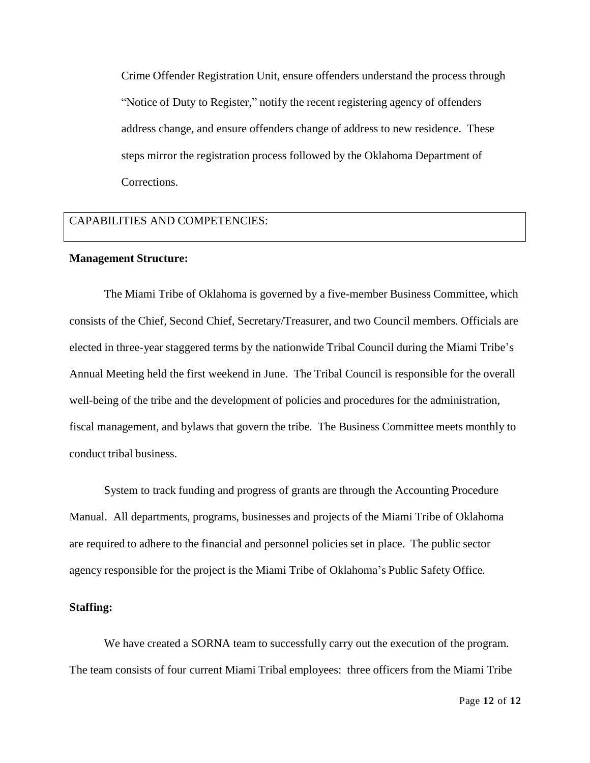Crime Offender Registration Unit, ensure offenders understand the process through "Notice of Duty to Register," notify the recent registering agency of offenders address change, and ensure offenders change of address to new residence. These steps mirror the registration process followed by the Oklahoma Department of Corrections.

### CAPABILITIES AND COMPETENCIES:

#### **Management Structure:**

The Miami Tribe of Oklahoma is governed by a five-member Business Committee, which consists of the Chief, Second Chief, Secretary/Treasurer, and two Council members. Officials are elected in three-year staggered terms by the nationwide Tribal Council during the Miami Tribe's Annual Meeting held the first weekend in June. The Tribal Council is responsible for the overall well-being of the tribe and the development of policies and procedures for the administration, fiscal management, and bylaws that govern the tribe. The Business Committee meets monthly to conduct tribal business.

System to track funding and progress of grants are through the Accounting Procedure Manual. All departments, programs, businesses and projects of the Miami Tribe of Oklahoma are required to adhere to the financial and personnel policies set in place. The public sector agency responsible for the project is the Miami Tribe of Oklahoma's Public Safety Office.

### **Staffing:**

We have created a SORNA team to successfully carry out the execution of the program. The team consists of four current Miami Tribal employees: three officers from the Miami Tribe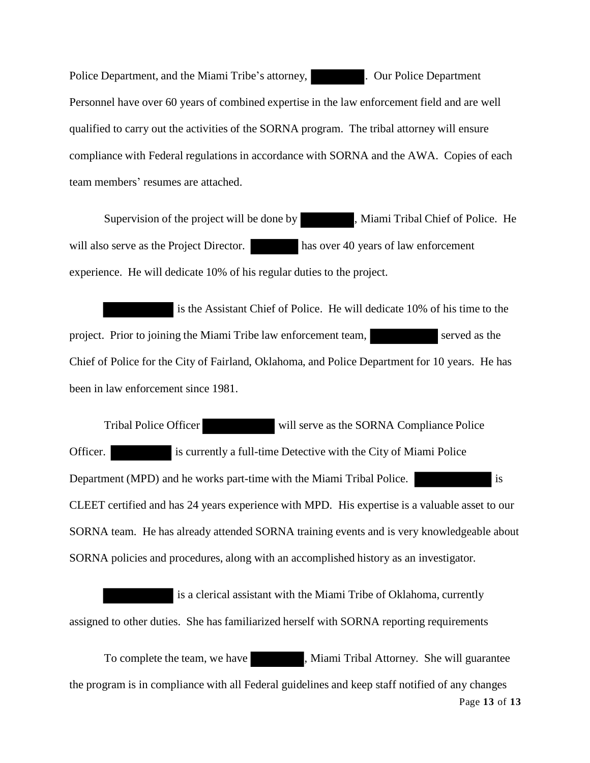Police Department, and the Miami Tribe's attorney, ... Our Police Department Personnel have over 60 years of combined expertise in the law enforcement field and are well qualified to carry out the activities of the SORNA program. The tribal attorney will ensure compliance with Federal regulations in accordance with SORNA and the AWA. Copies of each team members' resumes are attached.

Supervision of the project will be done by , Miami Tribal Chief of Police. He will also serve as the Project Director. has over 40 years of law enforcement experience. He will dedicate 10% of his regular duties to the project.

is the Assistant Chief of Police. He will dedicate 10% of his time to the project. Prior to joining the Miami Tribe law enforcement team, served as the Chief of Police for the City of Fairland, Oklahoma, and Police Department for 10 years. He has been in law enforcement since 1981.

Tribal Police Officer will serve as the SORNA Compliance Police Officer. is currently a full-time Detective with the City of Miami Police Department (MPD) and he works part-time with the Miami Tribal Police. is CLEET certified and has 24 years experience with MPD. His expertise is a valuable asset to our SORNA team. He has already attended SORNA training events and is very knowledgeable about SORNA policies and procedures, along with an accomplished history as an investigator.

is a clerical assistant with the Miami Tribe of Oklahoma, currently assigned to other duties. She has familiarized herself with SORNA reporting requirements

To complete the team, we have **, Miami Tribal Attorney.** She will guarantee the program is in compliance with all Federal guidelines and keep staff notified of any changes Page **13** of **13**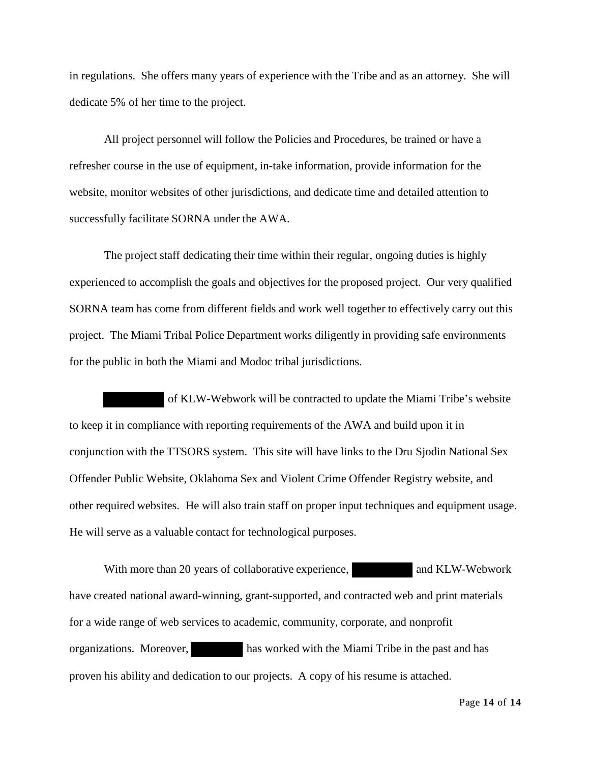in regulations. She offers many years of experience with the Tribe and as an attorney. She will dedicate 5% of her time to the project.

All project personnel will follow the Policies and Procedures, be trained or have a refresher course in the use of equipment, in-take information, provide information for the website, monitor websites of other jurisdictions, and dedicate time and detailed attention to successfully facilitate SORNA under the AWA.

The project staff dedicating their time within their regular, ongoing duties is highly experienced to accomplish the goals and objectives for the proposed project. Our very qualified SORNA team has come from different fields and work well together to effectively carry out this project. The Miami Tribal Police Department works diligently in providing safe environments for the public in both the Miami and Modoc tribal jurisdictions.

of KLW-Webwork will be contracted to update the Miami Tribe's website to keep it in compliance with reporting requirements of the AWA and build upon it in conjunction with the TTSORS system. This site will have links to the Dru Sjodin National Sex Offender Public Website, Oklahoma Sex and Violent Crime Offender Registry website, and other required websites. He will also train staff on proper input techniques and equipment usage. He will serve as a valuable contact for technological purposes.

With more than 20 years of collaborative experience, and KLW-Webwork have created national award-winning, grant-supported, and contracted web and print materials for a wide range of web services to academic, community, corporate, and nonprofit organizations. Moreover, has worked with the Miami Tribe in the past and has proven his ability and dedication to our projects. A copy of his resume is attached.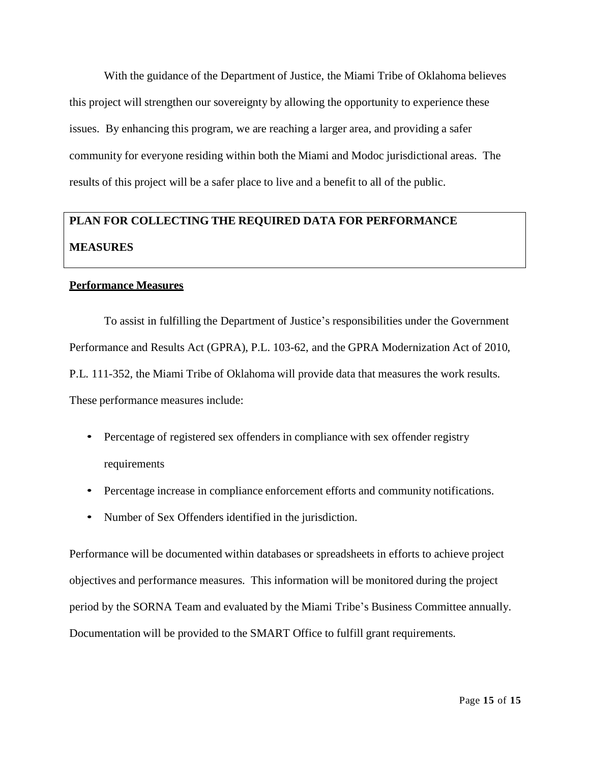With the guidance of the Department of Justice, the Miami Tribe of Oklahoma believes this project will strengthen our sovereignty by allowing the opportunity to experience these issues. By enhancing this program, we are reaching a larger area, and providing a safer community for everyone residing within both the Miami and Modoc jurisdictional areas. The results of this project will be a safer place to live and a benefit to all of the public.

# **PLAN FOR COLLECTING THE REQUIRED DATA FOR PERFORMANCE MEASURES**

### **Performance Measures**

To assist in fulfilling the Department of Justice's responsibilities under the Government Performance and Results Act (GPRA), P.L. 103-62, and the GPRA Modernization Act of 2010, P.L. 111-352, the Miami Tribe of Oklahoma will provide data that measures the work results. These performance measures include:

- Percentage of registered sex offenders in compliance with sex offender registry requirements
- Percentage increase in compliance enforcement efforts and community notifications.
- Number of Sex Offenders identified in the jurisdiction.

Performance will be documented within databases or spreadsheets in efforts to achieve project objectives and performance measures. This information will be monitored during the project period by the SORNA Team and evaluated by the Miami Tribe's Business Committee annually. Documentation will be provided to the SMART Office to fulfill grant requirements.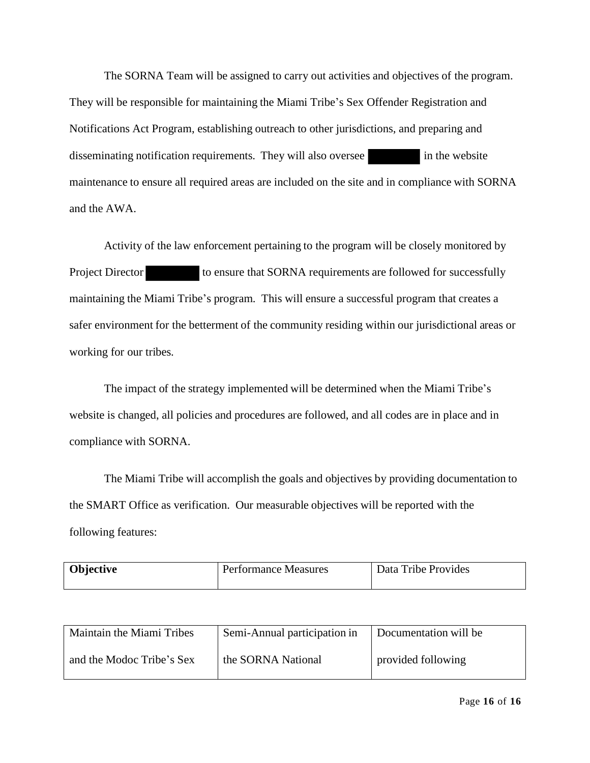The SORNA Team will be assigned to carry out activities and objectives of the program. They will be responsible for maintaining the Miami Tribe's Sex Offender Registration and Notifications Act Program, establishing outreach to other jurisdictions, and preparing and disseminating notification requirements. They will also oversee in the website maintenance to ensure all required areas are included on the site and in compliance with SORNA and the AWA.

Activity of the law enforcement pertaining to the program will be closely monitored by Project Director to ensure that SORNA requirements are followed for successfully maintaining the Miami Tribe's program. This will ensure a successful program that creates a safer environment for the betterment of the community residing within our jurisdictional areas or working for our tribes.

The impact of the strategy implemented will be determined when the Miami Tribe's website is changed, all policies and procedures are followed, and all codes are in place and in compliance with SORNA.

The Miami Tribe will accomplish the goals and objectives by providing documentation to the SMART Office as verification. Our measurable objectives will be reported with the following features:

| Objective<br>Data Tribe Provides<br><b>Performance Measures</b> |  |
|-----------------------------------------------------------------|--|
|-----------------------------------------------------------------|--|

| Maintain the Miami Tribes | Semi-Annual participation in | Documentation will be |
|---------------------------|------------------------------|-----------------------|
| and the Modoc Tribe's Sex | the SORNA National           | provided following    |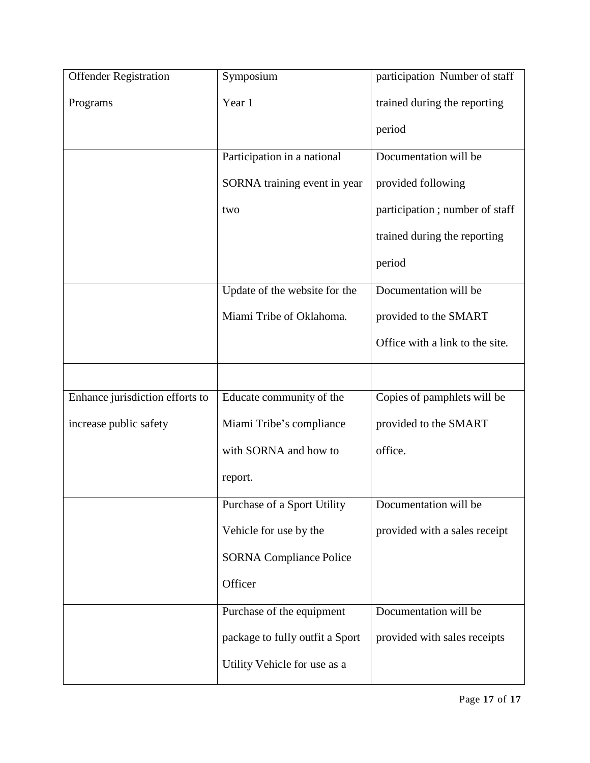| <b>Offender Registration</b>    | Symposium                       | participation Number of staff   |
|---------------------------------|---------------------------------|---------------------------------|
| Programs                        | Year 1                          | trained during the reporting    |
|                                 |                                 | period                          |
|                                 | Participation in a national     | Documentation will be           |
|                                 | SORNA training event in year    | provided following              |
|                                 | two                             | participation; number of staff  |
|                                 |                                 | trained during the reporting    |
|                                 |                                 | period                          |
|                                 | Update of the website for the   | Documentation will be           |
|                                 | Miami Tribe of Oklahoma.        | provided to the SMART           |
|                                 |                                 | Office with a link to the site. |
|                                 |                                 |                                 |
| Enhance jurisdiction efforts to | Educate community of the        | Copies of pamphlets will be     |
| increase public safety          | Miami Tribe's compliance        | provided to the SMART           |
|                                 | with SORNA and how to           | office.                         |
|                                 | report.                         |                                 |
|                                 | Purchase of a Sport Utility     | Documentation will be           |
|                                 | Vehicle for use by the          | provided with a sales receipt   |
|                                 | <b>SORNA Compliance Police</b>  |                                 |
|                                 | Officer                         |                                 |
|                                 | Purchase of the equipment       | Documentation will be           |
|                                 | package to fully outfit a Sport | provided with sales receipts    |
|                                 | Utility Vehicle for use as a    |                                 |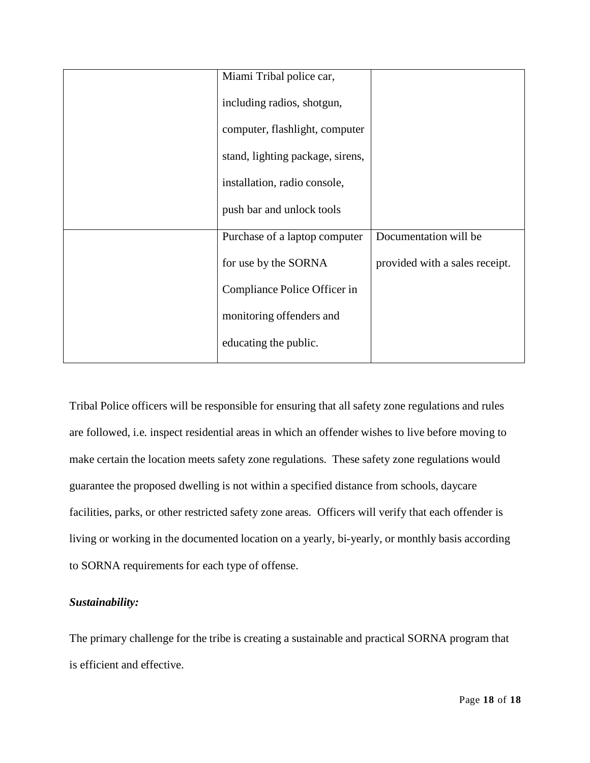| Miami Tribal police car,         |                                |
|----------------------------------|--------------------------------|
| including radios, shotgun,       |                                |
| computer, flashlight, computer   |                                |
| stand, lighting package, sirens, |                                |
| installation, radio console,     |                                |
| push bar and unlock tools        |                                |
| Purchase of a laptop computer    | Documentation will be          |
| for use by the SORNA             | provided with a sales receipt. |
| Compliance Police Officer in     |                                |
| monitoring offenders and         |                                |
| educating the public.            |                                |
|                                  |                                |

Tribal Police officers will be responsible for ensuring that all safety zone regulations and rules are followed, i.e. inspect residential areas in which an offender wishes to live before moving to make certain the location meets safety zone regulations. These safety zone regulations would guarantee the proposed dwelling is not within a specified distance from schools, daycare facilities, parks, or other restricted safety zone areas. Officers will verify that each offender is living or working in the documented location on a yearly, bi-yearly, or monthly basis according to SORNA requirements for each type of offense.

### *Sustainability:*

The primary challenge for the tribe is creating a sustainable and practical SORNA program that is efficient and effective.